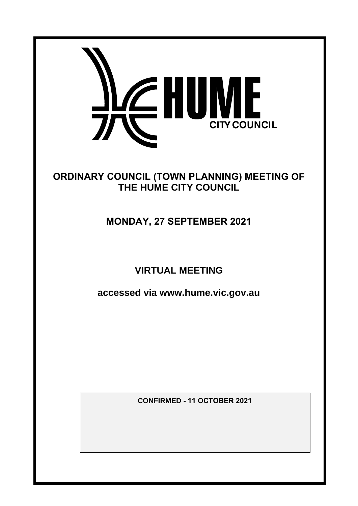

# **ORDINARY COUNCIL (TOWN PLANNING) MEETING OF THE HUME CITY COUNCIL**

# **MONDAY, 27 SEPTEMBER 2021**

# **VIRTUAL MEETING**

**accessed via www.hume.vic.gov.au**

**CONFIRMED - 11 OCTOBER 2021**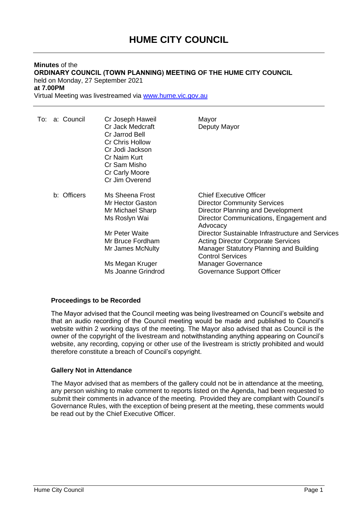## **Minutes** of the **ORDINARY COUNCIL (TOWN PLANNING) MEETING OF THE HUME CITY COUNCIL** held on Monday, 27 September 2021 **at 7.00PM**

Virtual Meeting was livestreamed via [www.hume.vic.gov.au](http://www.hume.vic.gov.au/)

| To:<br>a: Council | Cr Joseph Haweil<br>Cr Jack Medcraft<br>Cr Jarrod Bell<br>Cr Chris Hollow<br>Cr Jodi Jackson<br>Cr Naim Kurt<br>Cr Sam Misho<br>Cr Carly Moore<br>Cr Jim Overend            | Mayor<br>Deputy Mayor                                                                                                                                                                                                                                                                                                                                                                              |
|-------------------|-----------------------------------------------------------------------------------------------------------------------------------------------------------------------------|----------------------------------------------------------------------------------------------------------------------------------------------------------------------------------------------------------------------------------------------------------------------------------------------------------------------------------------------------------------------------------------------------|
| b: Officers       | Ms Sheena Frost<br>Mr Hector Gaston<br>Mr Michael Sharp<br>Ms Roslyn Wai<br>Mr Peter Waite<br>Mr Bruce Fordham<br>Mr James McNulty<br>Ms Megan Kruger<br>Ms Joanne Grindrod | <b>Chief Executive Officer</b><br><b>Director Community Services</b><br>Director Planning and Development<br>Director Communications, Engagement and<br>Advocacy<br>Director Sustainable Infrastructure and Services<br><b>Acting Director Corporate Services</b><br>Manager Statutory Planning and Building<br><b>Control Services</b><br><b>Manager Governance</b><br>Governance Support Officer |

## **Proceedings to be Recorded**

The Mayor advised that the Council meeting was being livestreamed on Council's website and that an audio recording of the Council meeting would be made and published to Council's website within 2 working days of the meeting. The Mayor also advised that as Council is the owner of the copyright of the livestream and notwithstanding anything appearing on Council's website, any recording, copying or other use of the livestream is strictly prohibited and would therefore constitute a breach of Council's copyright.

## **Gallery Not in Attendance**

The Mayor advised that as members of the gallery could not be in attendance at the meeting, any person wishing to make comment to reports listed on the Agenda, had been requested to submit their comments in advance of the meeting. Provided they are compliant with Council's Governance Rules, with the exception of being present at the meeting, these comments would be read out by the Chief Executive Officer.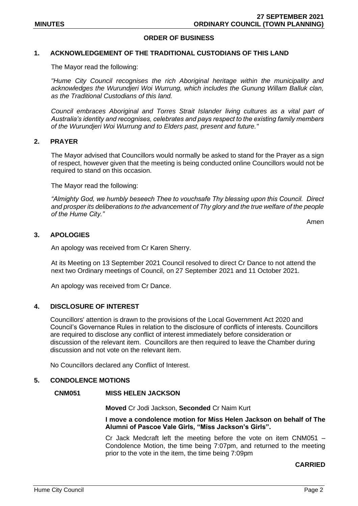## **ORDER OF BUSINESS**

#### **1. ACKNOWLEDGEMENT OF THE TRADITIONAL CUSTODIANS OF THIS LAND**

The Mayor read the following:

*"Hume City Council recognises the rich Aboriginal heritage within the municipality and* acknowledges the Wurundjeri Woi Wurrung, which includes the Gunung Willam Balluk clan, *as the Traditional Custodians of this land.*

*Council embraces Aboriginal and Torres Strait Islander living cultures as a vital part of Australia's identity and recognises, celebrates and pays respect to the existing family members of the Wurundjeri Woi Wurrung and to Elders past, present and future."*

## **2. PRAYER**

The Mayor advised that Councillors would normally be asked to stand for the Prayer as a sign of respect, however given that the meeting is being conducted online Councillors would not be required to stand on this occasion.

The Mayor read the following:

*"Almighty God, we humbly beseech Thee to vouchsafe Thy blessing upon this Council. Direct and prosper its deliberations to the advancement of Thy glory and the true welfare of the people of the Hume City."*

Amen

### **3. APOLOGIES**

An apology was received from Cr Karen Sherry.

At its Meeting on 13 September 2021 Council resolved to direct Cr Dance to not attend the next two Ordinary meetings of Council, on 27 September 2021 and 11 October 2021.

An apology was received from Cr Dance.

## **4. DISCLOSURE OF INTEREST**

Councillors' attention is drawn to the provisions of the Local Government Act 2020 and Council's Governance Rules in relation to the disclosure of conflicts of interests. Councillors are required to disclose any conflict of interest immediately before consideration or discussion of the relevant item. Councillors are then required to leave the Chamber during discussion and not vote on the relevant item.

No Councillors declared any Conflict of Interest.

#### **5. CONDOLENCE MOTIONS**

#### **CNM051 MISS HELEN JACKSON**

**Moved** Cr Jodi Jackson, **Seconded** Cr Naim Kurt

#### **I move a condolence motion for Miss Helen Jackson on behalf of The Alumni of Pascoe Vale Girls, "Miss Jackson's Girls".**

Cr Jack Medcraft left the meeting before the vote on item CNM051 – Condolence Motion, the time being 7:07pm, and returned to the meeting prior to the vote in the item, the time being 7:09pm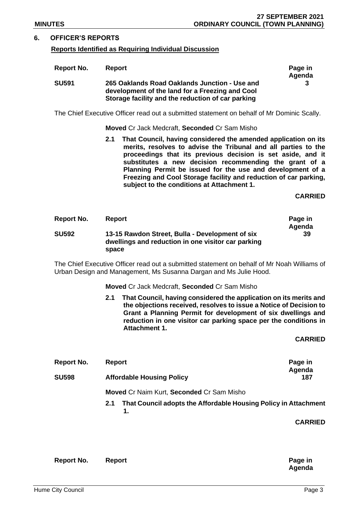## **6. OFFICER'S REPORTS**

## **Reports Identified as Requiring Individual Discussion**

| Report No.   | Report                                                                                                                                                | Page in<br>Agenda |
|--------------|-------------------------------------------------------------------------------------------------------------------------------------------------------|-------------------|
| <b>SU591</b> | 265 Oaklands Road Oaklands Junction - Use and<br>development of the land for a Freezing and Cool<br>Storage facility and the reduction of car parking | 3                 |

The Chief Executive Officer read out a submitted statement on behalf of Mr Dominic Scally.

**Moved** Cr Jack Medcraft, **Seconded** Cr Sam Misho

**2.1 That Council, having considered the amended application on its merits, resolves to advise the Tribunal and all parties to the proceedings that its previous decision is set aside, and it substitutes a new decision recommending the grant of a Planning Permit be issued for the use and development of a Freezing and Cool Storage facility and reduction of car parking, subject to the conditions at Attachment 1.**

**CARRIED**

| Report No.   | <b>Report</b>                                                                                                  | Page in |
|--------------|----------------------------------------------------------------------------------------------------------------|---------|
|              |                                                                                                                | Agenda  |
| <b>SU592</b> | 13-15 Rawdon Street, Bulla - Development of six<br>dwellings and reduction in one visitor car parking<br>space | -39     |

The Chief Executive Officer read out a submitted statement on behalf of Mr Noah Williams of Urban Design and Management, Ms Susanna Dargan and Ms Julie Hood.

**Moved** Cr Jack Medcraft, **Seconded** Cr Sam Misho

**2.1 That Council, having considered the application on its merits and the objections received, resolves to issue a Notice of Decision to Grant a Planning Permit for development of six dwellings and reduction in one visitor car parking space per the conditions in Attachment 1.**

**CARRIED**

| Report No.   | Report                                           | Page in<br>Agenda |
|--------------|--------------------------------------------------|-------------------|
| <b>SU598</b> | <b>Affordable Housing Policy</b>                 | 187               |
|              | <b>Moved Cr Naim Kurt, Seconded Cr Sam Misho</b> |                   |

**2.1 That Council adopts the Affordable Housing Policy in Attachment 1.** 

| Report No. | Report | Page in |
|------------|--------|---------|
|            |        | Agenda  |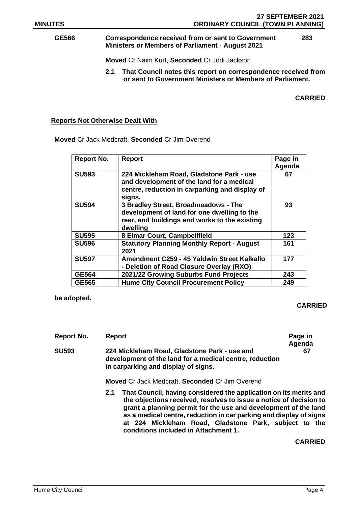#### **GE566 Correspondence received from or sent to Government Ministers or Members of Parliament - August 2021 283**

**Moved** Cr Naim Kurt, **Seconded** Cr Jodi Jackson

**2.1 That Council notes this report on correspondence received from or sent to Government Ministers or Members of Parliament.**

**CARRIED**

## **Reports Not Otherwise Dealt With**

**Moved** Cr Jack Medcraft, **Seconded** Cr Jim Overend

| <b>Report No.</b> | <b>Report</b>                                                                                                                                     | Page in<br>Agenda |
|-------------------|---------------------------------------------------------------------------------------------------------------------------------------------------|-------------------|
| <b>SU593</b>      | 224 Mickleham Road, Gladstone Park - use<br>and development of the land for a medical<br>centre, reduction in carparking and display of<br>signs. | 67                |
| <b>SU594</b>      | 3 Bradley Street, Broadmeadows - The<br>development of land for one dwelling to the<br>rear, and buildings and works to the existing<br>dwelling  | 93                |
| <b>SU595</b>      | 8 Elmar Court, Campbellfield                                                                                                                      | 123               |
| <b>SU596</b>      | <b>Statutory Planning Monthly Report - August</b><br>2021                                                                                         | 161               |
| <b>SU597</b>      | Amendment C259 - 45 Yaldwin Street Kalkallo<br>- Deletion of Road Closure Overlay (RXO)                                                           | 177               |
| <b>GE564</b>      | 2021/22 Growing Suburbs Fund Projects                                                                                                             | 243               |
| <b>GE565</b>      | <b>Hume City Council Procurement Policy</b>                                                                                                       | 249               |

**be adopted.**

## **CARRIED**

| Report                                                                                                                                         | Page in<br>Agenda |
|------------------------------------------------------------------------------------------------------------------------------------------------|-------------------|
| 224 Mickleham Road, Gladstone Park - use and<br>development of the land for a medical centre, reduction<br>in carparking and display of signs. | 67                |
| <b>Moved Cr Jack Medcraft, Seconded Cr Jim Overend</b>                                                                                         |                   |
|                                                                                                                                                |                   |

**2.1 That Council, having considered the application on its merits and the objections received, resolves to issue a notice of decision to grant a planning permit for the use and development of the land as a medical centre, reduction in car parking and display of signs at 224 Mickleham Road, Gladstone Park, subject to the conditions included in Attachment 1.**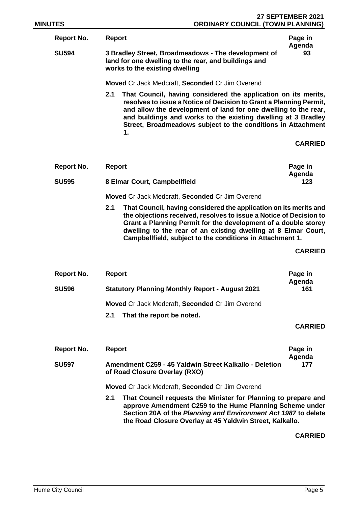**Report No. Report Page in** 

**Agenda SU594 3 Bradley Street, Broadmeadows - The development of land for one dwelling to the rear, and buildings and works to the existing dwelling**

**Moved** Cr Jack Medcraft, **Seconded** Cr Jim Overend

**2.1 That Council, having considered the application on its merits, resolves to issue a Notice of Decision to Grant a Planning Permit, and allow the development of land for one dwelling to the rear, and buildings and works to the existing dwelling at 3 Bradley Street, Broadmeadows subject to the conditions in Attachment 1.**

**CARRIED**

**93**

| Report No.   | Report                       | Page in |
|--------------|------------------------------|---------|
|              |                              | Agenda  |
| <b>SU595</b> | 8 Elmar Court, Campbellfield | 123     |

**Moved** Cr Jack Medcraft, **Seconded** Cr Jim Overend

**2.1 That Council, having considered the application on its merits and the objections received, resolves to issue a Notice of Decision to Grant a Planning Permit for the development of a double storey dwelling to the rear of an existing dwelling at 8 Elmar Court, Campbellfield, subject to the conditions in Attachment 1.**

**CARRIED**

| Report No.   | Report                                                 | Page in<br>Agenda |
|--------------|--------------------------------------------------------|-------------------|
| <b>SU596</b> | <b>Statutory Planning Monthly Report - August 2021</b> |                   |
|              | <b>Moved Cr Jack Medcraft, Seconded Cr Jim Overend</b> |                   |
|              | That the report be noted.<br>2.1                       |                   |

## **CARRIED**

| Report No.   | <b>Report</b>                                                                           |  |  |  |
|--------------|-----------------------------------------------------------------------------------------|--|--|--|
| <b>SU597</b> | Amendment C259 - 45 Yaldwin Street Kalkallo - Deletion<br>of Road Closure Overlay (RXO) |  |  |  |
|              |                                                                                         |  |  |  |

**Moved** Cr Jack Medcraft, **Seconded** Cr Jim Overend

**2.1 That Council requests the Minister for Planning to prepare and approve Amendment C259 to the Hume Planning Scheme under Section 20A of the** *Planning and Environment Act 1987* **to delete the Road Closure Overlay at 45 Yaldwin Street, Kalkallo.**